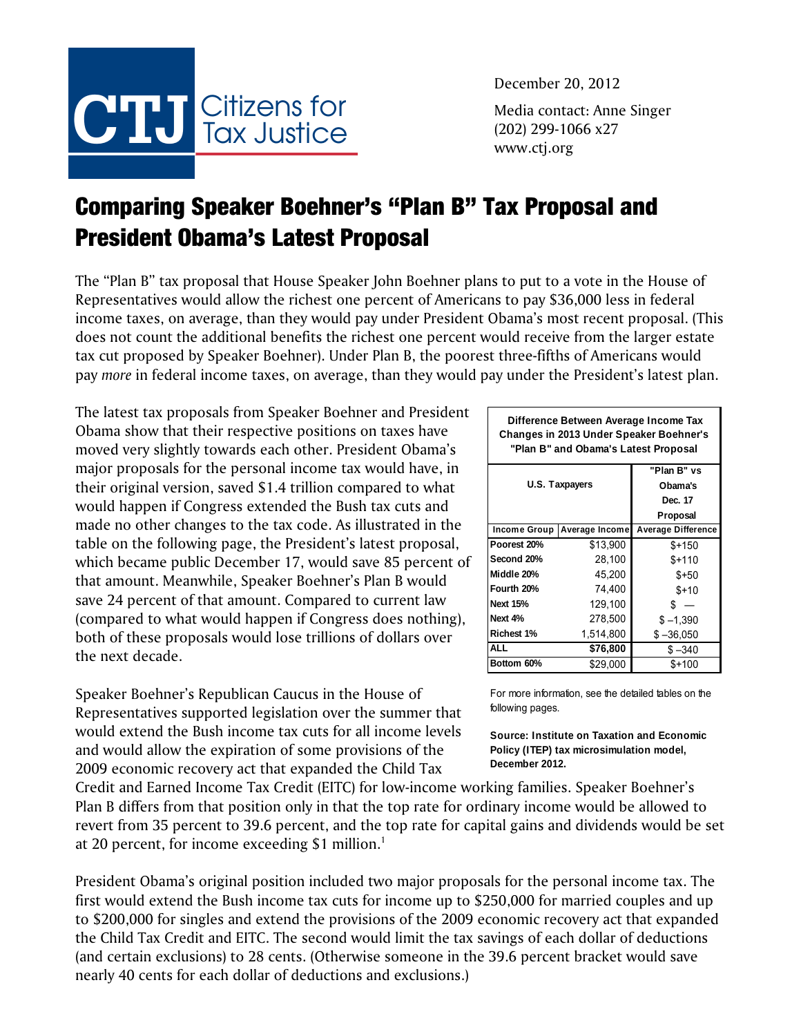

December 20, 2012 Media contact: Anne Singer (202) 299-1066 x27 www.ctj.org

## Comparing Speaker Boehner's "Plan B" Tax Proposal and President Obama's Latest Proposal

The "Plan B" tax proposal that House Speaker John Boehner plans to put to a vote in the House of Representatives would allow the richest one percent of Americans to pay \$36,000 less in federal income taxes, on average, than they would pay under President Obama's most recent proposal. (This does not count the additional benefits the richest one percent would receive from the larger estate tax cut proposed by Speaker Boehner). Under Plan B, the poorest three-fifths of Americans would pay *more* in federal income taxes, on average, than they would pay under the President's latest plan.

The latest tax proposals from Speaker Boehner and President Obama show that their respective positions on taxes have moved very slightly towards each other. President Obama's major proposals for the personal income tax would have, in their original version, saved \$1.4 trillion compared to what would happen if Congress extended the Bush tax cuts and made no other changes to the tax code. As illustrated in the table on the following page, the President's latest proposal, which became public December 17, would save 85 percent of that amount. Meanwhile, Speaker Boehner's Plan B would save 24 percent of that amount. Compared to current law (compared to what would happen if Congress does nothing), both of these proposals would lose trillions of dollars over the next decade.

Speaker Boehner's Republican Caucus in the House of Representatives supported legislation over the summer that would extend the Bush income tax cuts for all income levels and would allow the expiration of some provisions of the 2009 economic recovery act that expanded the Child Tax

Credit and Earned Income Tax Credit (EITC) for low-income working families. Speaker Boehner's Plan B differs from that position only in that the top rate for ordinary income would be allowed to revert from 35 percent to 39.6 percent, and the top rate for capital gains and dividends would be set at 20 percent, for income exceeding \$1 million.<sup>1</sup>

President Obama's original position included two major proposals for the personal income tax. The first would extend the Bush income tax cuts for income up to \$250,000 for married couples and up to \$200,000 for singles and extend the provisions of the 2009 economic recovery act that expanded the Child Tax Credit and EITC. The second would limit the tax savings of each dollar of deductions (and certain exclusions) to 28 cents. (Otherwise someone in the 39.6 percent bracket would save nearly 40 cents for each dollar of deductions and exclusions.)

| Difference Between Average Income Tax<br>Changes in 2013 Under Speaker Boehner's<br>"Plan B" and Obama's Latest Proposal |                |                    |  |  |  |  |  |
|--------------------------------------------------------------------------------------------------------------------------|----------------|--------------------|--|--|--|--|--|
| "Plan B" vs                                                                                                              |                |                    |  |  |  |  |  |
| U.S. Taxpayers                                                                                                           | Obama's        |                    |  |  |  |  |  |
|                                                                                                                          | Dec. 17        |                    |  |  |  |  |  |
|                                                                                                                          |                | Proposal           |  |  |  |  |  |
| Income Group                                                                                                             | Average Income | Average Difference |  |  |  |  |  |
| Poorest 20%                                                                                                              | \$13,900       | $$+150$            |  |  |  |  |  |
| Second 20%                                                                                                               | 28,100         | $$+110$            |  |  |  |  |  |
| Middle 20%                                                                                                               | 45,200         | $$+50$             |  |  |  |  |  |
| Fourth 20%                                                                                                               | 74,400         | $$+10$             |  |  |  |  |  |
| <b>Next 15%</b>                                                                                                          | 129,100        | S                  |  |  |  |  |  |
| Next 4%                                                                                                                  | 278,500        | $$ -1,390$         |  |  |  |  |  |
| Richest 1%                                                                                                               | 1,514,800      | $$ -36,050$        |  |  |  |  |  |
| <b>ALL</b>                                                                                                               | \$76,800       | \$-340             |  |  |  |  |  |
| Bottom 60%                                                                                                               | \$29,000       | \$+100             |  |  |  |  |  |

For more information, see the detailed tables on the following pages.

**Source: Institute on Taxation and Economic Policy (ITEP) tax microsimulation model, December 2012.**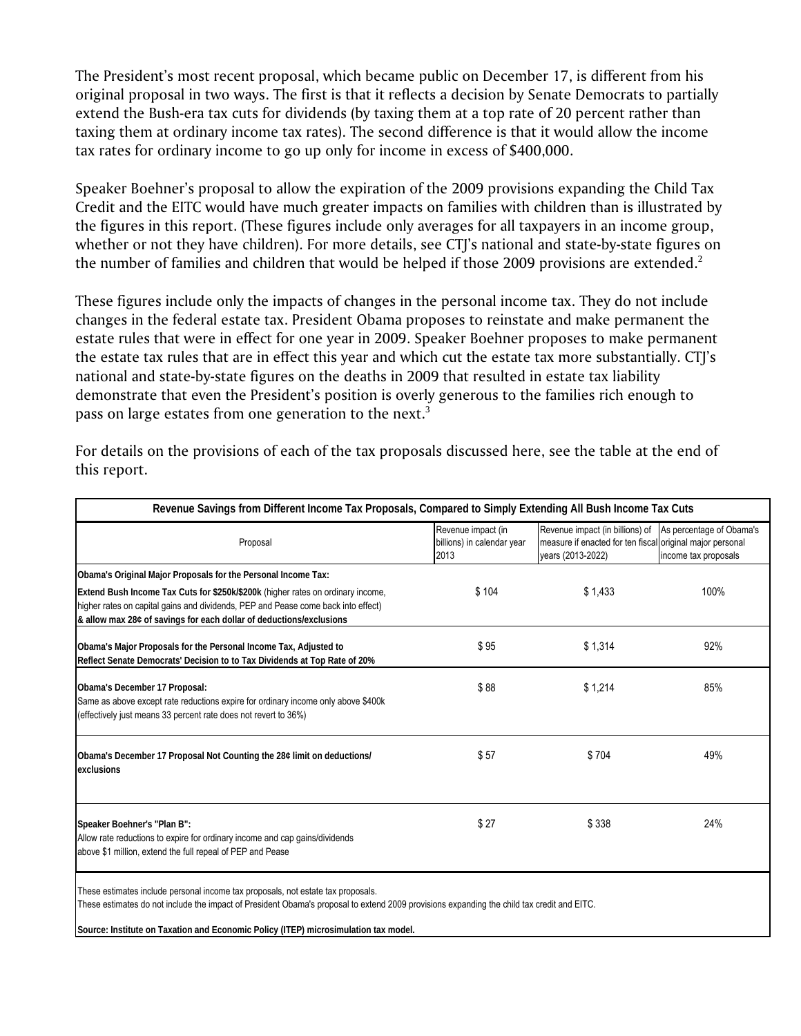The President's most recent proposal, which became public on December 17, is different from his original proposal in two ways. The first is that it reflects a decision by Senate Democrats to partially extend the Bush-era tax cuts for dividends (by taxing them at a top rate of 20 percent rather than taxing them at ordinary income tax rates). The second difference is that it would allow the income tax rates for ordinary income to go up only for income in excess of \$400,000.

Speaker Boehner's proposal to allow the expiration of the 2009 provisions expanding the Child Tax Credit and the EITC would have much greater impacts on families with children than is illustrated by the figures in this report. (These figures include only averages for all taxpayers in an income group, whether or not they have children). For more details, see CTJ's national and state-by-state figures on the number of families and children that would be helped if those 2009 provisions are extended.<sup>2</sup>

These figures include only the impacts of changes in the personal income tax. They do not include changes in the federal estate tax. President Obama proposes to reinstate and make permanent the estate rules that were in effect for one year in 2009. Speaker Boehner proposes to make permanent the estate tax rules that are in effect this year and which cut the estate tax more substantially. CTJ's national and state-by-state figures on the deaths in 2009 that resulted in estate tax liability demonstrate that even the President's position is overly generous to the families rich enough to pass on large estates from one generation to the next.<sup>3</sup>

| Revenue Savings from Different Income Tax Proposals, Compared to Simply Extending All Bush Income Tax Cuts                                                                                                                                  |                                                          |                                                                                                                                            |                      |  |  |  |  |
|---------------------------------------------------------------------------------------------------------------------------------------------------------------------------------------------------------------------------------------------|----------------------------------------------------------|--------------------------------------------------------------------------------------------------------------------------------------------|----------------------|--|--|--|--|
| Proposal                                                                                                                                                                                                                                    | Revenue impact (in<br>billions) in calendar year<br>2013 | Revenue impact (in billions) of As percentage of Obama's<br>measure if enacted for ten fiscal original major personal<br>years (2013-2022) | income tax proposals |  |  |  |  |
| Obama's Original Major Proposals for the Personal Income Tax:                                                                                                                                                                               |                                                          |                                                                                                                                            |                      |  |  |  |  |
| Extend Bush Income Tax Cuts for \$250k/\$200k (higher rates on ordinary income,<br>higher rates on capital gains and dividends, PEP and Pease come back into effect)<br>& allow max 28¢ of savings for each dollar of deductions/exclusions | \$104                                                    | \$1,433                                                                                                                                    | 100%                 |  |  |  |  |
| Obama's Major Proposals for the Personal Income Tax, Adjusted to<br>Reflect Senate Democrats' Decision to to Tax Dividends at Top Rate of 20%                                                                                               | \$95                                                     | \$1,314                                                                                                                                    | 92%                  |  |  |  |  |
| Obama's December 17 Proposal:<br>Same as above except rate reductions expire for ordinary income only above \$400k<br>(effectively just means 33 percent rate does not revert to 36%)                                                       | \$88                                                     | \$1,214                                                                                                                                    | 85%                  |  |  |  |  |
| Obama's December 17 Proposal Not Counting the 28¢ limit on deductions/<br>exclusions                                                                                                                                                        | \$57                                                     | \$704                                                                                                                                      | 49%                  |  |  |  |  |
| Speaker Boehner's "Plan B":<br>Allow rate reductions to expire for ordinary income and cap gains/dividends<br>above \$1 million, extend the full repeal of PEP and Pease                                                                    | \$27                                                     | \$338                                                                                                                                      | 24%                  |  |  |  |  |
| These estimates include personal income tax proposals, not estate tax proposals.<br>These estimates do not include the impact of President Obama's proposal to extend 2009 provisions expanding the child tax credit and EITC.              |                                                          |                                                                                                                                            |                      |  |  |  |  |

For details on the provisions of each of the tax proposals discussed here, see the table at the end of this report.

**Source: Institute on Taxation and Economic Policy (ITEP) microsimulation tax model.**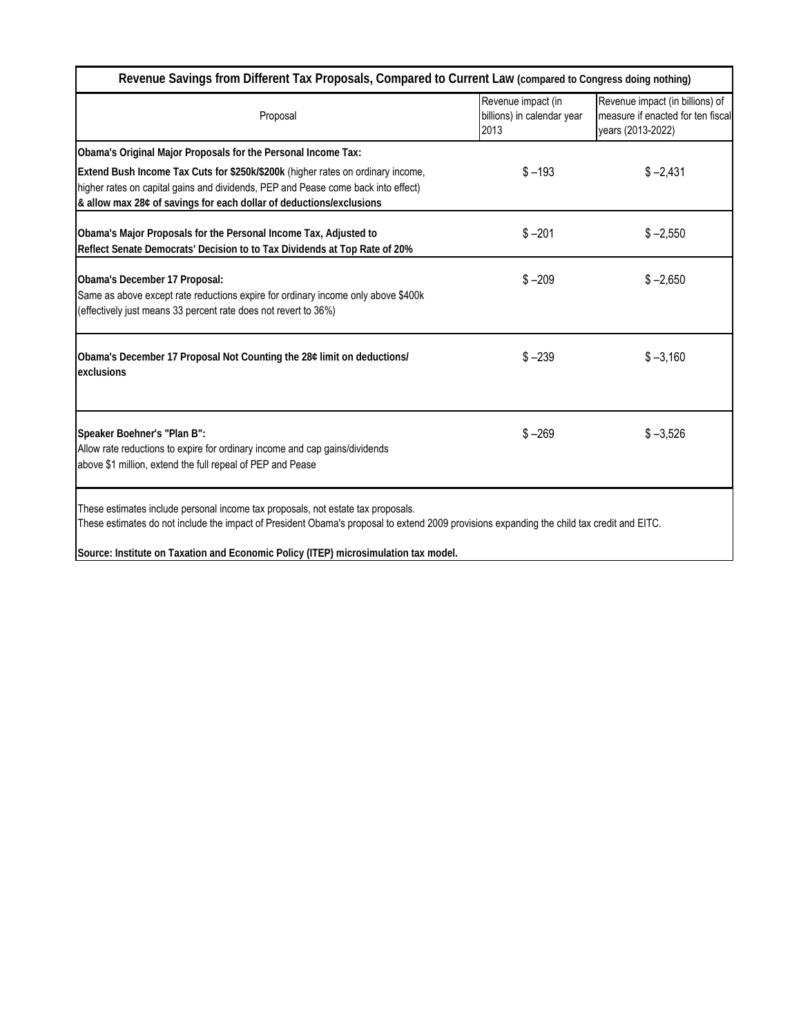| Revenue Savings from Different Tax Proposals, Compared to Current Law (compared to Congress doing nothing)                                                                                                                                                                                                            |                                                          |                                                                                           |  |
|-----------------------------------------------------------------------------------------------------------------------------------------------------------------------------------------------------------------------------------------------------------------------------------------------------------------------|----------------------------------------------------------|-------------------------------------------------------------------------------------------|--|
| Proposal                                                                                                                                                                                                                                                                                                              | Revenue impact (in<br>billions) in calendar year<br>2013 | Revenue impact (in billions) of<br>measure if enacted for ten fiscal<br>years (2013-2022) |  |
| Obama's Original Major Proposals for the Personal Income Tax:                                                                                                                                                                                                                                                         |                                                          |                                                                                           |  |
| Extend Bush Income Tax Cuts for \$250k/\$200k (higher rates on ordinary income,<br>higher rates on capital gains and dividends, PEP and Pease come back into effect)<br>& allow max 28¢ of savings for each dollar of deductions/exclusions                                                                           | $$ -193$                                                 | $$ -2,431$                                                                                |  |
| Obama's Major Proposals for the Personal Income Tax, Adjusted to<br>Reflect Senate Democrats' Decision to to Tax Dividends at Top Rate of 20%                                                                                                                                                                         | $$ -201$                                                 | $$ -2,550$                                                                                |  |
| Obama's December 17 Proposal:<br>Same as above except rate reductions expire for ordinary income only above \$400k<br>(effectively just means 33 percent rate does not revert to 36%)                                                                                                                                 | $$ -209$                                                 | $$ -2,650$                                                                                |  |
| Obama's December 17 Proposal Not Counting the 28¢ limit on deductions/<br>exclusions                                                                                                                                                                                                                                  | $$ -239$                                                 | $$ -3,160$                                                                                |  |
| Speaker Boehner's "Plan B":<br>Allow rate reductions to expire for ordinary income and cap gains/dividends<br>above \$1 million, extend the full repeal of PEP and Pease                                                                                                                                              | $$ -269$                                                 | $$ -3,526$                                                                                |  |
| These estimates include personal income tax proposals, not estate tax proposals.<br>These estimates do not include the impact of President Obama's proposal to extend 2009 provisions expanding the child tax credit and EITC.<br>Source: Institute on Taxation and Economic Policy (ITEP) microsimulation tax model. |                                                          |                                                                                           |  |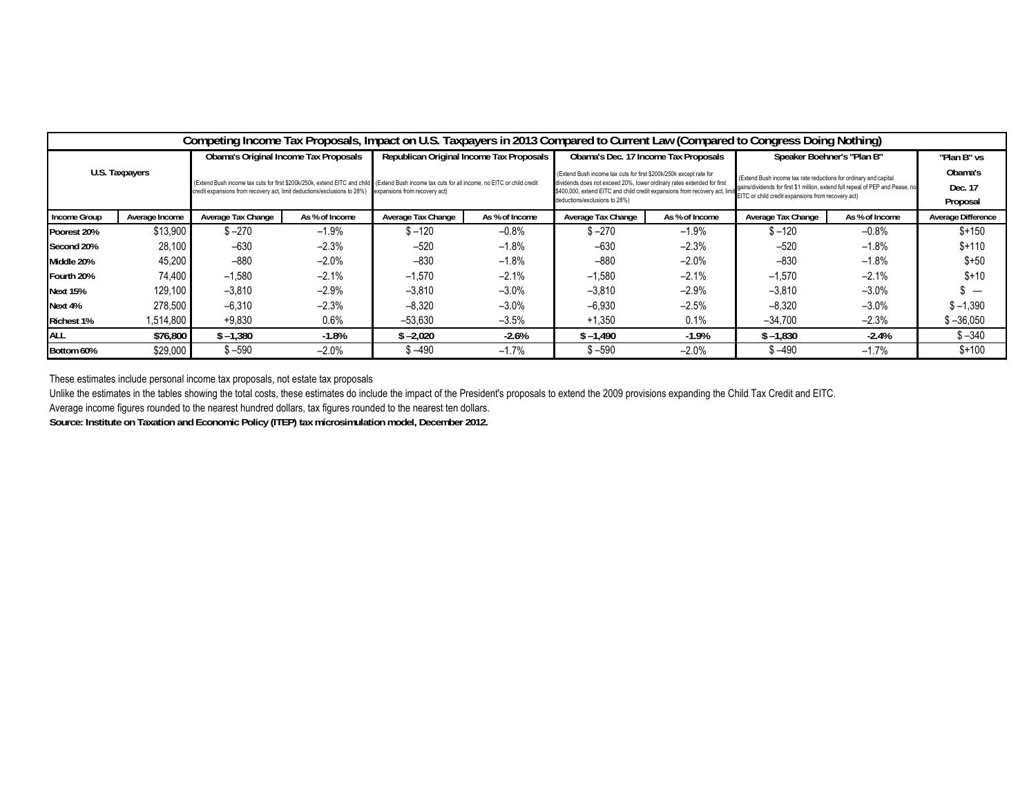| Competing Income Tax Proposals, Impact on U.S. Taxpayers in 2013 Compared to Current Law (Compared to Congress Doing Nothing) |                |                                                                                                                                                                                                                                                          |                |                                          |                |                                                                                                                                                                                                                                                                                                            |                |                                                                                                                                                    |                |                           |
|-------------------------------------------------------------------------------------------------------------------------------|----------------|----------------------------------------------------------------------------------------------------------------------------------------------------------------------------------------------------------------------------------------------------------|----------------|------------------------------------------|----------------|------------------------------------------------------------------------------------------------------------------------------------------------------------------------------------------------------------------------------------------------------------------------------------------------------------|----------------|----------------------------------------------------------------------------------------------------------------------------------------------------|----------------|---------------------------|
| U.S. Taxpayers                                                                                                                |                | Obama's Original Income Tax Proposals                                                                                                                                                                                                                    |                | Republican Original Income Tax Proposals |                | Obama's Dec. 17 Income Tax Proposals                                                                                                                                                                                                                                                                       |                | Speaker Boehner's "Plan B"                                                                                                                         |                | "Plan B" vs               |
|                                                                                                                               |                | (Extend Bush income tax cuts for first \$200k/250k, extend EITC and child (Extend Bush income tax cuts for all income, no EITC or child credit<br>credit expansions from recovery act, limit deductions/exclusions to 28%) expansions from recovery act) |                |                                          |                | (Extend Bush income tax cuts for first \$200k/250k except rate for<br>dividends does not exceed 20%, lower ordinary rates extended for first<br>stand, outer EITC and child credit expansions from recovery act, limit FITC or child credit expansions from recovery act)<br>deductions/exclusions to 28%) |                | (Extend Bush income tax rate reductions for ordinary and capital<br>gains/dividends for first \$1 million, extend full repeal of PEP and Pease, no |                | Obama's                   |
|                                                                                                                               |                |                                                                                                                                                                                                                                                          |                |                                          |                |                                                                                                                                                                                                                                                                                                            |                |                                                                                                                                                    |                | Dec. 17                   |
|                                                                                                                               |                |                                                                                                                                                                                                                                                          |                |                                          |                |                                                                                                                                                                                                                                                                                                            |                |                                                                                                                                                    |                | Proposal                  |
| Income Group                                                                                                                  | Average Income | Average Tax Change                                                                                                                                                                                                                                       | As % of Income | Average Tax Change                       | As % of Income | Average Tax Change                                                                                                                                                                                                                                                                                         | As % of Income | Average Tax Change                                                                                                                                 | As % of Income | <b>Average Difference</b> |
| Poorest 20%                                                                                                                   | \$13,900       | $$ -270$                                                                                                                                                                                                                                                 | $-1.9%$        | $$ -120$                                 | $-0.8%$        | $$ -270$                                                                                                                                                                                                                                                                                                   | $-1.9%$        | $$ -120$                                                                                                                                           | $-0.8%$        | $$+150$                   |
| Second 20%                                                                                                                    | 28,100         | $-630$                                                                                                                                                                                                                                                   | $-2.3%$        | $-520$                                   | $-1.8%$        | $-630$                                                                                                                                                                                                                                                                                                     | $-2.3%$        | $-520$                                                                                                                                             | $-1.8%$        | $$+110$                   |
| Middle 20%                                                                                                                    | 45,200         | $-880$                                                                                                                                                                                                                                                   | $-2.0%$        | $-830$                                   | $-1.8%$        | $-880$                                                                                                                                                                                                                                                                                                     | $-2.0%$        | $-830$                                                                                                                                             | $-1.8%$        | $$+50$                    |
| Fourth 20%                                                                                                                    | 74,400         | $-1,580$                                                                                                                                                                                                                                                 | $-2.1%$        | $-1,570$                                 | $-2.1%$        | $-1.580$                                                                                                                                                                                                                                                                                                   | $-2.1%$        | $-1,570$                                                                                                                                           | $-2.1%$        | $$+10$                    |
| <b>Next 15%</b>                                                                                                               | 129.100        | $-3.810$                                                                                                                                                                                                                                                 | $-2.9%$        | $-3.810$                                 | $-3.0%$        | $-3.810$                                                                                                                                                                                                                                                                                                   | $-2.9%$        | $-3,810$                                                                                                                                           | $-3.0%$        |                           |
| Next 4%                                                                                                                       | 278.500        | $-6,310$                                                                                                                                                                                                                                                 | $-2.3%$        | $-8.320$                                 | $-3.0%$        | $-6.930$                                                                                                                                                                                                                                                                                                   | $-2.5%$        | $-8,320$                                                                                                                                           | $-3.0%$        | $$ -1,390$                |
| <b>Richest 1%</b>                                                                                                             | 1,514,800      | $+9.830$                                                                                                                                                                                                                                                 | 0.6%           | $-53.630$                                | $-3.5%$        | $+1.350$                                                                                                                                                                                                                                                                                                   | 0.1%           | $-34,700$                                                                                                                                          | $-2.3%$        | $$ -36,050$               |
| <b>ALL</b>                                                                                                                    | \$76,800       | $$ -1,380$                                                                                                                                                                                                                                               | $-1.8\%$       | $$ -2.020$                               | $-2.6%$        | $$ -1,490$                                                                                                                                                                                                                                                                                                 | $-1.9\%$       | $$ -1,830$                                                                                                                                         | $-2.4%$        | $$ -340$                  |
| Bottom 60%                                                                                                                    | \$29,000       | $$ -590$                                                                                                                                                                                                                                                 | $-2.0\%$       | \$ –490                                  | $-1.7%$        | $$ -590$                                                                                                                                                                                                                                                                                                   | $-2.0\%$       | $$ -490$                                                                                                                                           | $-1.7%$        | $$+100$                   |

These estimates include personal income tax proposals, not estate tax proposals

Unlike the estimates in the tables showing the total costs, these estimates do include the impact of the President's proposals to extend the 2009 provisions expanding the Child Tax Credit and EITC.

Average income figures rounded to the nearest hundred dollars, tax figures rounded to the nearest ten dollars.

**Source: Institute on Taxation and Economic Policy (ITEP) tax microsimulation model, December 2012.**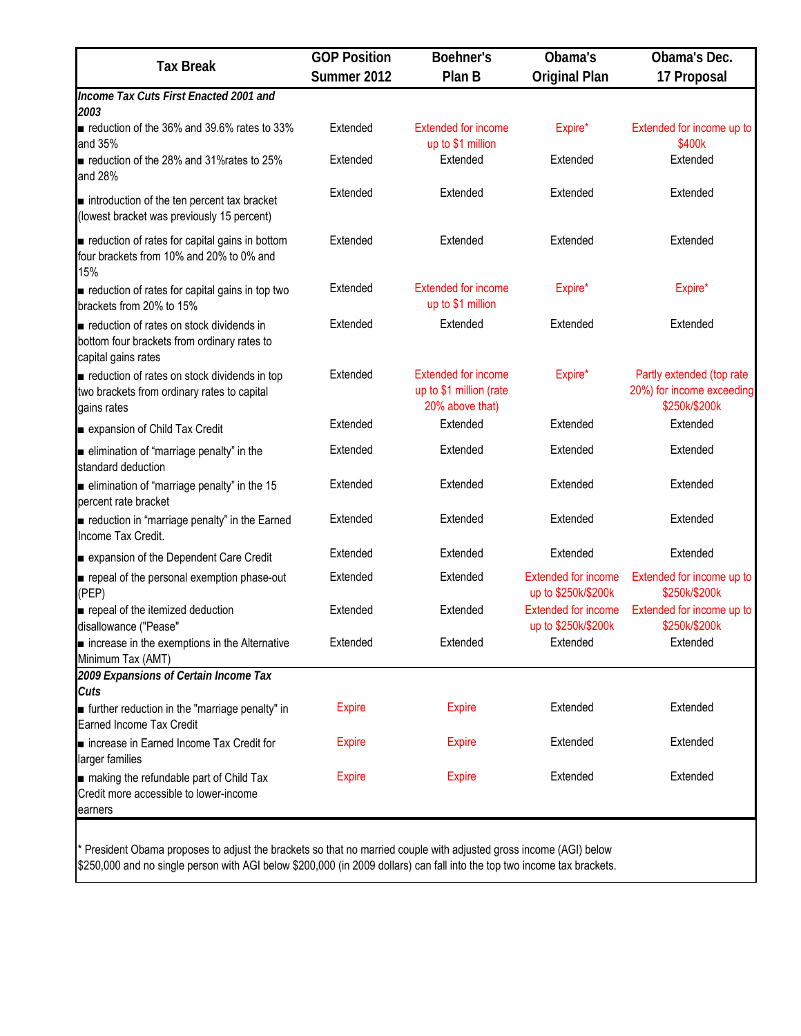| <b>GOP Position</b> | Boehner's                                                                | Obama's                                           | Obama's Dec.                                                            |  |
|---------------------|--------------------------------------------------------------------------|---------------------------------------------------|-------------------------------------------------------------------------|--|
| Summer 2012         | Plan B                                                                   | <b>Original Plan</b>                              | 17 Proposal                                                             |  |
|                     |                                                                          |                                                   |                                                                         |  |
| Extended            | <b>Extended for income</b><br>up to \$1 million                          | Expire*                                           | Extended for income up to<br>\$400k                                     |  |
| Extended            | Extended                                                                 | Extended                                          | Extended                                                                |  |
| Extended            | Extended                                                                 | Extended                                          | Extended                                                                |  |
| Extended            | Extended                                                                 | Extended                                          | Extended                                                                |  |
| Extended            | <b>Extended for income</b><br>up to \$1 million                          | Expire*                                           | Expire*                                                                 |  |
| Extended            | Extended                                                                 | Extended                                          | Extended                                                                |  |
| Extended            | <b>Extended for income</b><br>up to \$1 million (rate<br>20% above that) | Expire*                                           | Partly extended (top rate<br>20%) for income exceeding<br>\$250k/\$200k |  |
| Extended            | Extended                                                                 | Extended                                          | Extended                                                                |  |
| Extended            | Extended                                                                 | Extended                                          | Extended                                                                |  |
| Extended            | Extended                                                                 | Extended                                          | Extended                                                                |  |
| Extended            | Extended                                                                 | Extended                                          | Extended                                                                |  |
| Extended            | Extended                                                                 | Extended                                          | Extended                                                                |  |
| Extended            | Extended                                                                 | <b>Extended for income</b><br>up to \$250k/\$200k | Extended for income up to<br>\$250k/\$200k                              |  |
| Extended            | Extended                                                                 | <b>Extended for income</b><br>up to \$250k/\$200k | Extended for income up to<br>\$250k/\$200k                              |  |
| Extended            | Extended                                                                 | Extended                                          | Extended                                                                |  |
|                     |                                                                          |                                                   |                                                                         |  |
| <b>Expire</b>       | <b>Expire</b>                                                            | Extended                                          | Extended                                                                |  |
| <b>Expire</b>       | <b>Expire</b>                                                            | Extended                                          | Extended                                                                |  |
| <b>Expire</b>       | <b>Expire</b>                                                            | Extended                                          | Extended                                                                |  |
|                     |                                                                          |                                                   |                                                                         |  |

\* President Obama proposes to adjust the brackets so that no married couple with adjusted gross income (AGI) below \$250,000 and no single person with AGI below \$200,000 (in 2009 dollars) can fall into the top two income tax brackets.